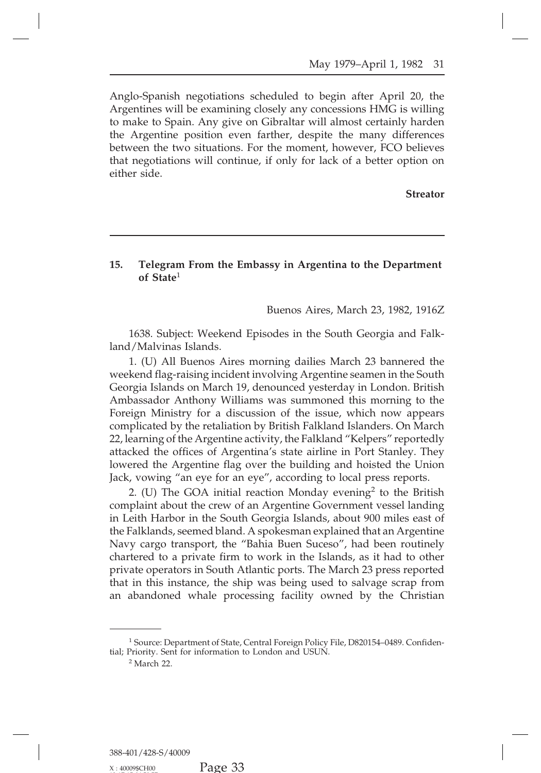## **15. Telegram From the Embassy in Argentina to the Department of State<sup>1</sup> Buenos Aires, March 23, 1982, 1916Z of State**1 ssy in Argentina to the Department<br>Buenos Aires, March 23, 1982, 1916Z<br>odes in the South Georgia and Falk-

1638. Subject: Weekend Episodes in the South Georgia and Falk-<br>1638. Subject: Weekend Episodes in the South Georgia and Falk-<br>1. (U) All Buenos Aires morning dailies March 23 bannered the

or State<br>1638. Subject: Weekend<br>land/Malvinas Islands.<br>1. (U) All Buenos Aires<br>weekend flag-raising inciden Buenos Aires, March 23, 1982, 1916Z<br>1638. Subject: Weekend Episodes in the South Georgia and Falk-<br>1/Malvinas Islands.<br>1. (U) All Buenos Aires morning dailies March 23 bannered the<br>kend flag-raising incident involving Arge Buenos Aires, March 23, 1982, 1916Z<br>1638. Subject: Weekend Episodes in the South Georgia and Falk-<br>land/Malvinas Islands.<br>1. (U) All Buenos Aires morning dailies March 23 bannered the<br>weekend flag-raising incident involvin 1638. Subject: Weekend Episodes in the South Georgia and Falkland/Malvinas Islands.<br>
1. (U) All Buenos Aires morning dailies March 23 bannered the<br>
weekend flag-raising incident involving Argentine seamen in the South<br>
Geo 1638. Subject: Weekend Episodes in the South Georgia and Falkland/Malvinas Islands.<br>
1. (U) All Buenos Aires morning dailies March 23 bannered the<br>
weekend flag-raising incident involving Argentine seamen in the South<br>
Geo Iand/Malvinas Islands.<br>
1. (U) All Buenos Aires morning dailies March 23 bannered the<br>
weekend flag-raising incident involving Argentine seamen in the South<br>
Georgia Islands on March 19, denounced yesterday in London. Brit 1. (U) All Buenos Aires morning dailies March 23 bannered the<br>weekend flag-raising incident involving Argentine seamen in the South<br>Georgia Islands on March 19, denounced yesterday in London. British<br>Ambassador Anthony Wil weekend flag-raising incident involving Argentine seamen in the South<br>Georgia Islands on March 19, denounced yesterday in London. British<br>Ambassador Anthony Williams was summoned this morning to the<br>Foreign Ministry for a Georgia Islands on March 19, denounced yesterday in London. British Ambassador Anthony Williams was summoned this morning to the Foreign Ministry for a discussion of the issue, which now appears complicated by the retaliat Ambassador Anthony Williams was summoned this morning to the Foreign Ministry for a discussion of the issue, which now appears complicated by the retaliation by British Falkland Islanders. On March 22, learning of the Arge Foreign Ministry for a discussion of the issue, which now appears<br>complicated by the retaliation by British Falkland Islanders. On March<br>22, learning of the Argentine activity, the Falkland "Kelpers" reportedly<br>attacked th plicated by the retaliation by British Falkland Islanders. On March<br>earning of the Argentine activity, the Falkland "Kelpers" reportedly<br>cked the offices of Argentina's state airline in Port Stanley. They<br>ered the Argentin

22, learning of the Argentine activity, the Falkland "Kelpers" reportedly<br>attacked the offices of Argentina's state airline in Port Stanley. They<br>lowered the Argentine flag over the building and hoisted the Union<br>Jack, vow attacked the offices of Argentina's state airline in Port Stanley. They<br>lowered the Argentine flag over the building and hoisted the Union<br>Jack, vowing "an eye for an eye", according to local press reports.<br>2. (U) The GOA Iowered the Argentine flag over the building and hoisted the Union<br>Jack, vowing "an eye for an eye", according to local press reports.<br>2. (U) The GOA initial reaction Monday evening<sup>2</sup> to the British<br>complaint about the cr Jack, vowing "an eye for an eye", according to local press reports.<br>
2. (U) The GOA initial reaction Monday evening<sup>2</sup> to the British<br>
complaint about the crew of an Argentine Government vessel landing<br>
in Leith Harbor in 2. (U) The GOA initial reaction Monday evening<sup>2</sup> to the British<br>complaint about the crew of an Argentine Government vessel landing<br>in Leith Harbor in the South Georgia Islands, about 900 miles east of<br>the Falklands, seeme complaint about the crew of an Argentine Government vessel landing<br>in Leith Harbor in the South Georgia Islands, about 900 miles east of<br>the Falklands, seemed bland. A spokesman explained that an Argentine<br>Navy cargo trans in Leith Harbor in the South Georgia Islands, about 900 miles east of<br>the Falklands, seemed bland. A spokesman explained that an Argentine<br>Navy cargo transport, the "Bahia Buen Suceso", had been routinely<br>chartered to a pr the Falklands, seemed bland. A spokesman explained that an Argentine Navy cargo transport, the "Bahia Buen Suceso", had been routinely chartered to a private firm to work in the Islands, as it had to other private operator <sup>1</sup> Source: Department of State, Central Foreign Policy File, D820154–0489. Confiden-

<sup>1</sup> Source: Department of State, Central Foreign Policy File,<br><sup>1</sup> Source: Department of State, Central Foreign Policy File,<br>tial; Priority. Sent for information to London and USUN.<br><sup>2</sup> March 22.